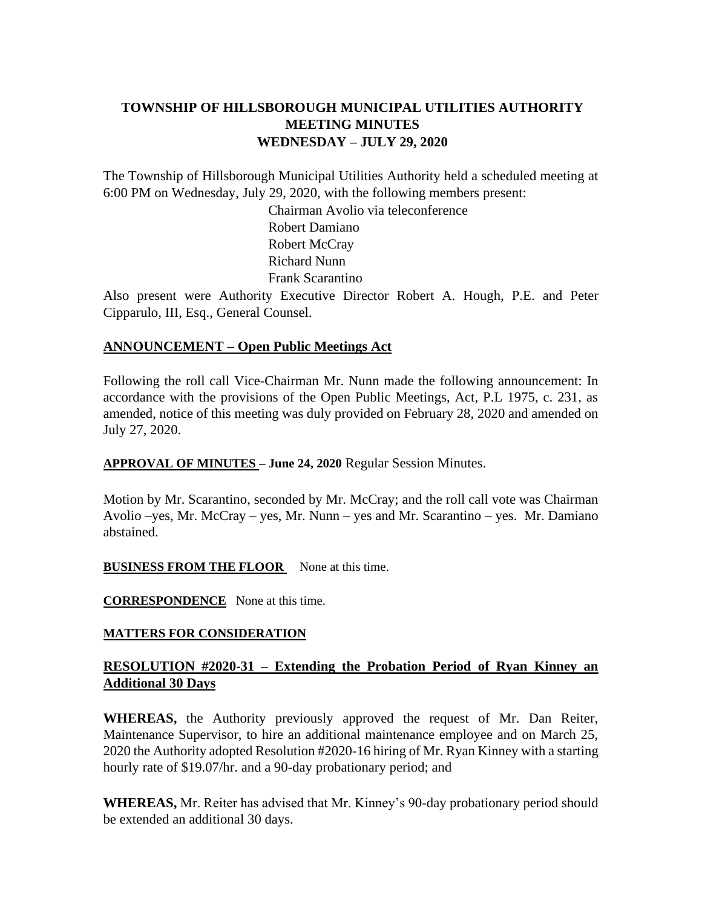# **TOWNSHIP OF HILLSBOROUGH MUNICIPAL UTILITIES AUTHORITY MEETING MINUTES WEDNESDAY – JULY 29, 2020**

The Township of Hillsborough Municipal Utilities Authority held a scheduled meeting at 6:00 PM on Wednesday, July 29, 2020, with the following members present:

> Chairman Avolio via teleconference Robert Damiano Robert McCray Richard Nunn Frank Scarantino

Also present were Authority Executive Director Robert A. Hough, P.E. and Peter Cipparulo, III, Esq., General Counsel.

### **ANNOUNCEMENT – Open Public Meetings Act**

Following the roll call Vice-Chairman Mr. Nunn made the following announcement: In accordance with the provisions of the Open Public Meetings, Act, P.L 1975, c. 231, as amended, notice of this meeting was duly provided on February 28, 2020 and amended on July 27, 2020.

**APPROVAL OF MINUTES – June 24, 2020** Regular Session Minutes.

Motion by Mr. Scarantino, seconded by Mr. McCray; and the roll call vote was Chairman Avolio –yes, Mr. McCray – yes, Mr. Nunn – yes and Mr. Scarantino – yes. Mr. Damiano abstained.

### **BUSINESS FROM THE FLOOR** None at this time.

**CORRESPONDENCE** None at this time.

### **MATTERS FOR CONSIDERATION**

### **RESOLUTION #2020-31 – Extending the Probation Period of Ryan Kinney an Additional 30 Days**

**WHEREAS,** the Authority previously approved the request of Mr. Dan Reiter, Maintenance Supervisor, to hire an additional maintenance employee and on March 25, 2020 the Authority adopted Resolution #2020-16 hiring of Mr. Ryan Kinney with a starting hourly rate of \$19.07/hr. and a 90-day probationary period; and

**WHEREAS,** Mr. Reiter has advised that Mr. Kinney's 90-day probationary period should be extended an additional 30 days.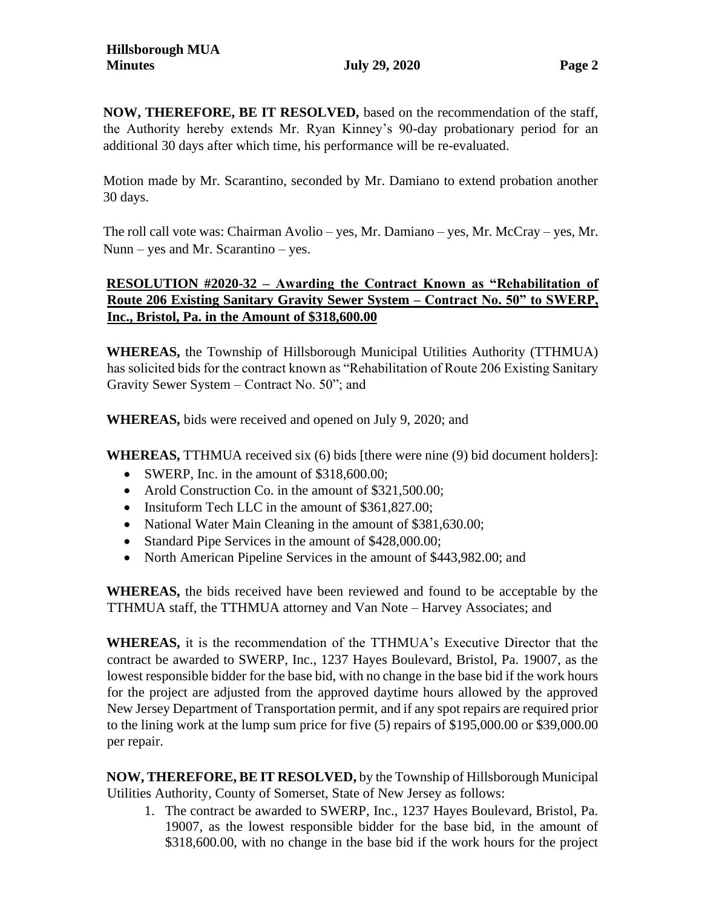**NOW, THEREFORE, BE IT RESOLVED,** based on the recommendation of the staff, the Authority hereby extends Mr. Ryan Kinney's 90-day probationary period for an additional 30 days after which time, his performance will be re-evaluated.

Motion made by Mr. Scarantino, seconded by Mr. Damiano to extend probation another 30 days.

The roll call vote was: Chairman Avolio – yes, Mr. Damiano – yes, Mr. McCray – yes, Mr. Nunn – yes and Mr. Scarantino – yes.

# **RESOLUTION #2020-32 – Awarding the Contract Known as "Rehabilitation of Route 206 Existing Sanitary Gravity Sewer System – Contract No. 50" to SWERP, Inc., Bristol, Pa. in the Amount of \$318,600.00**

**WHEREAS,** the Township of Hillsborough Municipal Utilities Authority (TTHMUA) has solicited bids for the contract known as "Rehabilitation of Route 206 Existing Sanitary Gravity Sewer System – Contract No. 50"; and

**WHEREAS,** bids were received and opened on July 9, 2020; and

**WHEREAS,** TTHMUA received six (6) bids [there were nine (9) bid document holders]:

- SWERP, Inc. in the amount of \$318,600.00;
- Arold Construction Co. in the amount of \$321,500.00;
- Insituform Tech LLC in the amount of \$361,827.00;
- National Water Main Cleaning in the amount of \$381,630.00;
- Standard Pipe Services in the amount of \$428,000.00;
- North American Pipeline Services in the amount of \$443,982.00; and

**WHEREAS,** the bids received have been reviewed and found to be acceptable by the TTHMUA staff, the TTHMUA attorney and Van Note – Harvey Associates; and

**WHEREAS,** it is the recommendation of the TTHMUA's Executive Director that the contract be awarded to SWERP, Inc., 1237 Hayes Boulevard, Bristol, Pa. 19007, as the lowest responsible bidder for the base bid, with no change in the base bid if the work hours for the project are adjusted from the approved daytime hours allowed by the approved New Jersey Department of Transportation permit, and if any spot repairs are required prior to the lining work at the lump sum price for five (5) repairs of \$195,000.00 or \$39,000.00 per repair.

**NOW, THEREFORE, BE IT RESOLVED,** by the Township of Hillsborough Municipal Utilities Authority, County of Somerset, State of New Jersey as follows:

1. The contract be awarded to SWERP, Inc., 1237 Hayes Boulevard, Bristol, Pa. 19007, as the lowest responsible bidder for the base bid, in the amount of \$318,600.00, with no change in the base bid if the work hours for the project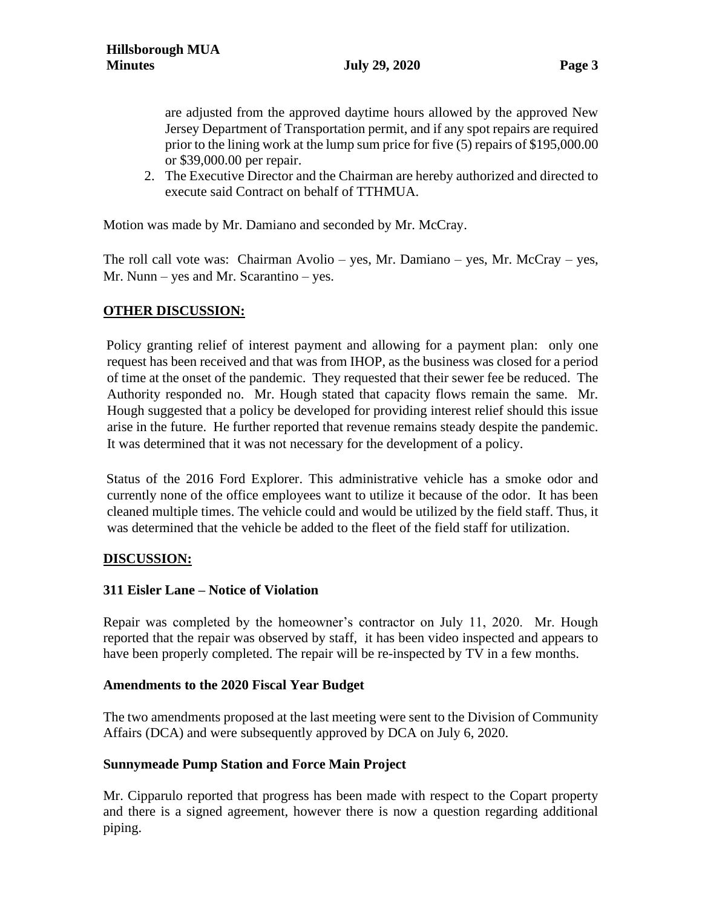are adjusted from the approved daytime hours allowed by the approved New Jersey Department of Transportation permit, and if any spot repairs are required prior to the lining work at the lump sum price for five (5) repairs of \$195,000.00 or \$39,000.00 per repair.

2. The Executive Director and the Chairman are hereby authorized and directed to execute said Contract on behalf of TTHMUA.

Motion was made by Mr. Damiano and seconded by Mr. McCray.

The roll call vote was: Chairman Avolio – yes, Mr. Damiano – yes, Mr. McCray – yes, Mr. Nunn – yes and Mr. Scarantino – yes.

## **OTHER DISCUSSION:**

Policy granting relief of interest payment and allowing for a payment plan: only one request has been received and that was from IHOP, as the business was closed for a period of time at the onset of the pandemic. They requested that their sewer fee be reduced. The Authority responded no. Mr. Hough stated that capacity flows remain the same. Mr. Hough suggested that a policy be developed for providing interest relief should this issue arise in the future. He further reported that revenue remains steady despite the pandemic. It was determined that it was not necessary for the development of a policy.

Status of the 2016 Ford Explorer. This administrative vehicle has a smoke odor and currently none of the office employees want to utilize it because of the odor. It has been cleaned multiple times. The vehicle could and would be utilized by the field staff. Thus, it was determined that the vehicle be added to the fleet of the field staff for utilization.

## **DISCUSSION:**

## **311 Eisler Lane – Notice of Violation**

Repair was completed by the homeowner's contractor on July 11, 2020. Mr. Hough reported that the repair was observed by staff, it has been video inspected and appears to have been properly completed. The repair will be re-inspected by TV in a few months.

### **Amendments to the 2020 Fiscal Year Budget**

The two amendments proposed at the last meeting were sent to the Division of Community Affairs (DCA) and were subsequently approved by DCA on July 6, 2020.

## **Sunnymeade Pump Station and Force Main Project**

Mr. Cipparulo reported that progress has been made with respect to the Copart property and there is a signed agreement, however there is now a question regarding additional piping.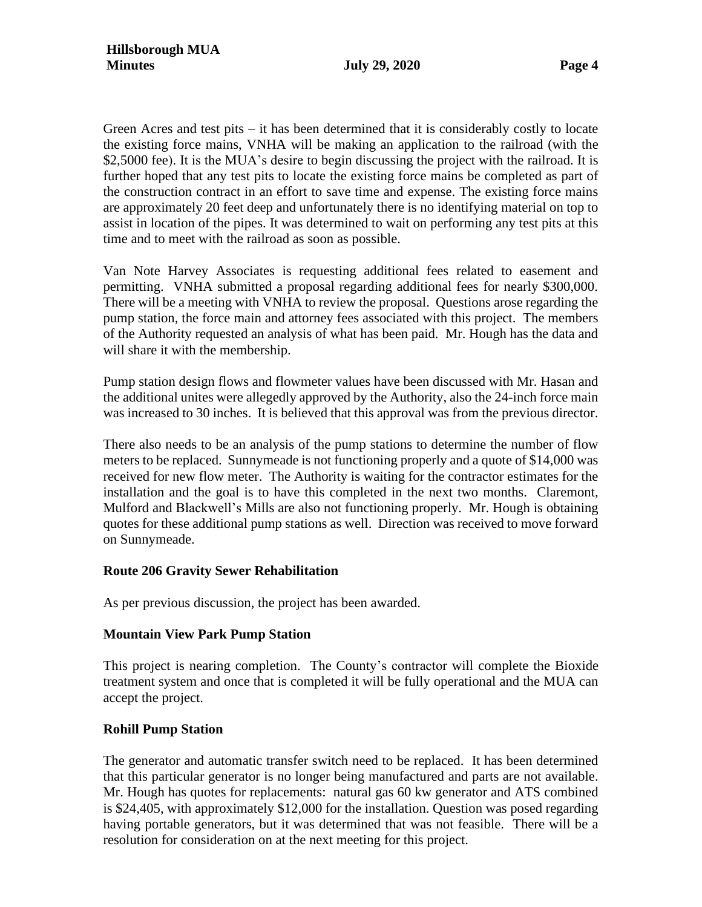Green Acres and test pits – it has been determined that it is considerably costly to locate the existing force mains, VNHA will be making an application to the railroad (with the \$2,5000 fee). It is the MUA's desire to begin discussing the project with the railroad. It is further hoped that any test pits to locate the existing force mains be completed as part of the construction contract in an effort to save time and expense. The existing force mains are approximately 20 feet deep and unfortunately there is no identifying material on top to assist in location of the pipes. It was determined to wait on performing any test pits at this time and to meet with the railroad as soon as possible.

Van Note Harvey Associates is requesting additional fees related to easement and permitting. VNHA submitted a proposal regarding additional fees for nearly \$300,000. There will be a meeting with VNHA to review the proposal. Questions arose regarding the pump station, the force main and attorney fees associated with this project. The members of the Authority requested an analysis of what has been paid. Mr. Hough has the data and will share it with the membership.

Pump station design flows and flowmeter values have been discussed with Mr. Hasan and the additional unites were allegedly approved by the Authority, also the 24-inch force main was increased to 30 inches. It is believed that this approval was from the previous director.

There also needs to be an analysis of the pump stations to determine the number of flow meters to be replaced. Sunnymeade is not functioning properly and a quote of \$14,000 was received for new flow meter. The Authority is waiting for the contractor estimates for the installation and the goal is to have this completed in the next two months. Claremont, Mulford and Blackwell's Mills are also not functioning properly. Mr. Hough is obtaining quotes for these additional pump stations as well. Direction was received to move forward on Sunnymeade.

### **Route 206 Gravity Sewer Rehabilitation**

As per previous discussion, the project has been awarded.

### **Mountain View Park Pump Station**

This project is nearing completion. The County's contractor will complete the Bioxide treatment system and once that is completed it will be fully operational and the MUA can accept the project.

### **Rohill Pump Station**

The generator and automatic transfer switch need to be replaced. It has been determined that this particular generator is no longer being manufactured and parts are not available. Mr. Hough has quotes for replacements: natural gas 60 kw generator and ATS combined is \$24,405, with approximately \$12,000 for the installation. Question was posed regarding having portable generators, but it was determined that was not feasible. There will be a resolution for consideration on at the next meeting for this project.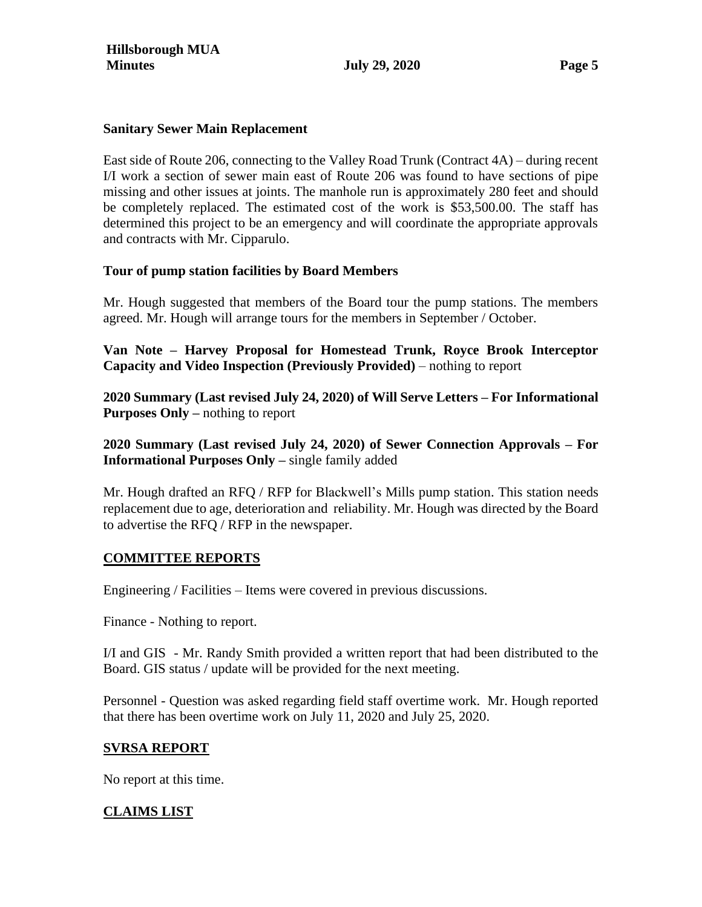### **Sanitary Sewer Main Replacement**

East side of Route 206, connecting to the Valley Road Trunk (Contract 4A) – during recent I/I work a section of sewer main east of Route 206 was found to have sections of pipe missing and other issues at joints. The manhole run is approximately 280 feet and should be completely replaced. The estimated cost of the work is \$53,500.00. The staff has determined this project to be an emergency and will coordinate the appropriate approvals and contracts with Mr. Cipparulo.

### **Tour of pump station facilities by Board Members**

Mr. Hough suggested that members of the Board tour the pump stations. The members agreed. Mr. Hough will arrange tours for the members in September / October.

**Van Note – Harvey Proposal for Homestead Trunk, Royce Brook Interceptor Capacity and Video Inspection (Previously Provided)** – nothing to report

**2020 Summary (Last revised July 24, 2020) of Will Serve Letters – For Informational Purposes Only –** nothing to report

**2020 Summary (Last revised July 24, 2020) of Sewer Connection Approvals – For Informational Purposes Only –** single family added

Mr. Hough drafted an RFQ / RFP for Blackwell's Mills pump station. This station needs replacement due to age, deterioration and reliability. Mr. Hough was directed by the Board to advertise the RFQ / RFP in the newspaper.

## **COMMITTEE REPORTS**

Engineering / Facilities – Items were covered in previous discussions.

Finance - Nothing to report.

I/I and GIS - Mr. Randy Smith provided a written report that had been distributed to the Board. GIS status / update will be provided for the next meeting.

Personnel - Question was asked regarding field staff overtime work. Mr. Hough reported that there has been overtime work on July 11, 2020 and July 25, 2020.

### **SVRSA REPORT**

No report at this time.

## **CLAIMS LIST**